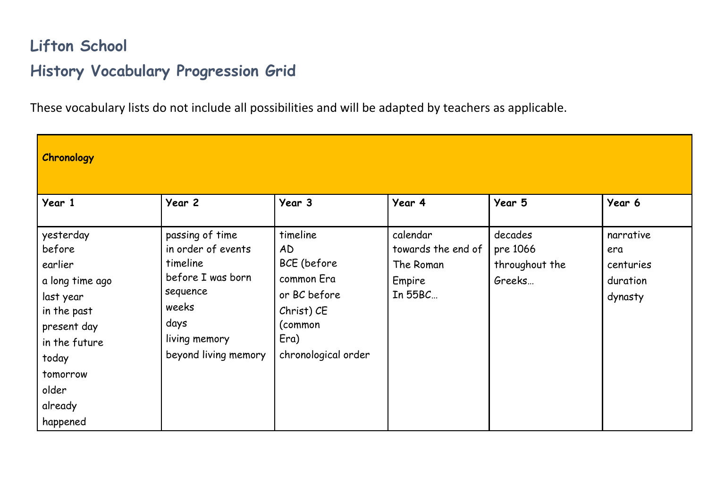## **Lifton School History Vocabulary Progression Grid**

These vocabulary lists do not include all possibilities and will be adapted by teachers as applicable.

| Chronology                                                                                                                                                         |                                                                                                                                              |                                                                                                                     |                                                                  |                                                 |                                                      |
|--------------------------------------------------------------------------------------------------------------------------------------------------------------------|----------------------------------------------------------------------------------------------------------------------------------------------|---------------------------------------------------------------------------------------------------------------------|------------------------------------------------------------------|-------------------------------------------------|------------------------------------------------------|
| Year 1                                                                                                                                                             | Year 2                                                                                                                                       | Year 3                                                                                                              | Year 4                                                           | Year 5                                          | Year 6                                               |
| yesterday<br>before<br>earlier<br>a long time ago<br>last year<br>in the past<br>present day<br>in the future<br>today<br>tomorrow<br>older<br>already<br>happened | passing of time<br>in order of events<br>timeline<br>before I was born<br>sequence<br>weeks<br>days<br>living memory<br>beyond living memory | timeline<br>AD<br>BCE (before<br>common Era<br>or BC before<br>Christ) CE<br>(common<br>Era)<br>chronological order | calendar<br>towards the end of<br>The Roman<br>Empire<br>In 55BC | decades<br>pre 1066<br>throughout the<br>Greeks | narrative<br>era<br>centuries<br>duration<br>dynasty |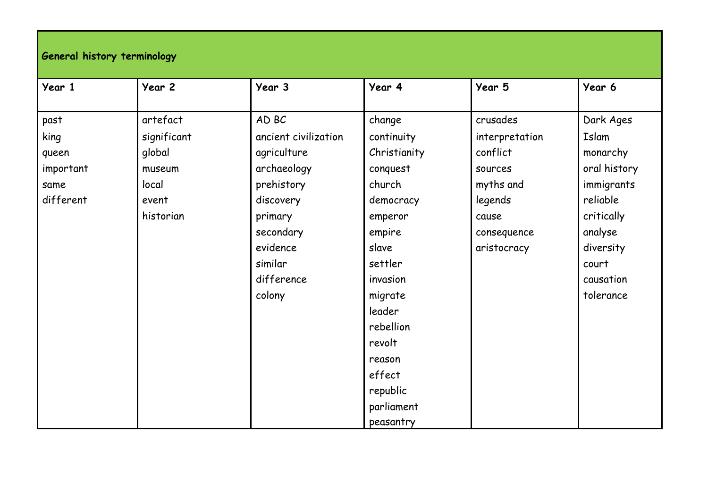## **General history terminology**

| Year 1    | Year 2      | Year 3               | Year 4       | Year 5         | Year 6       |
|-----------|-------------|----------------------|--------------|----------------|--------------|
| past      | artefact    | AD BC                | change       | crusades       | Dark Ages    |
|           |             |                      |              |                |              |
| king      | significant | ancient civilization | continuity   | interpretation | Islam        |
| queen     | global      | agriculture          | Christianity | conflict       | monarchy     |
| important | museum      | archaeology          | conquest     | sources        | oral history |
| same      | local       | prehistory           | church       | myths and      | immigrants   |
| different | event       | discovery            | democracy    | legends        | reliable     |
|           | historian   | primary              | emperor      | cause          | critically   |
|           |             | secondary            | empire       | consequence    | analyse      |
|           |             | evidence             | slave        | aristocracy    | diversity    |
|           |             | similar              | settler      |                | court        |
|           |             | difference           | invasion     |                | causation    |
|           |             | colony               | migrate      |                | tolerance    |
|           |             |                      | leader       |                |              |
|           |             |                      | rebellion    |                |              |
|           |             |                      | revolt       |                |              |
|           |             |                      | reason       |                |              |
|           |             |                      | effect       |                |              |
|           |             |                      | republic     |                |              |
|           |             |                      | parliament   |                |              |
|           |             |                      | peasantry    |                |              |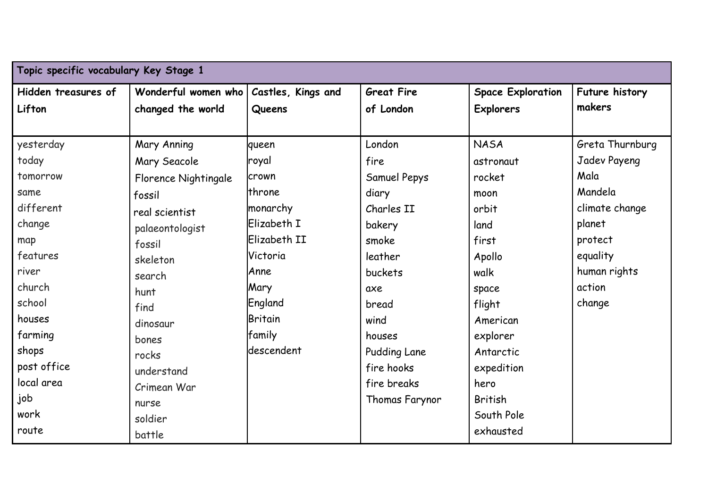| Topic specific vocabulary Key Stage 1 |                      |                    |                   |                          |                 |  |
|---------------------------------------|----------------------|--------------------|-------------------|--------------------------|-----------------|--|
| Hidden treasures of                   | Wonderful women who  | Castles, Kings and | <b>Great Fire</b> | <b>Space Exploration</b> | Future history  |  |
| Lifton                                | changed the world    | Queens             | of London         | <b>Explorers</b>         | makers          |  |
|                                       |                      |                    |                   |                          |                 |  |
| yesterday                             | Mary Anning          | queen              | London            | <b>NASA</b>              | Greta Thurnburg |  |
| today                                 | Mary Seacole         | royal              | fire              | astronaut                | Jadev Payeng    |  |
| tomorrow                              | Florence Nightingale | crown              | Samuel Pepys      | rocket                   | Mala            |  |
| same                                  | fossil               | throne             | diary             | moon                     | Mandela         |  |
| different                             | real scientist       | monarchy           | Charles II        | orbit                    | climate change  |  |
| change                                | palaeontologist      | Elizabeth I        | bakery            | land                     | planet          |  |
| map                                   | fossil               | Elizabeth II       | smoke             | first                    | protect         |  |
| features                              | skeleton             | Victoria           | leather           | Apollo                   | equality        |  |
| river                                 | search               | Anne               | buckets           | walk                     | human rights    |  |
| church                                | hunt                 | Mary               | axe               | space                    | action          |  |
| school                                | find                 | England            | bread             | flight                   | change          |  |
| houses                                | dinosaur             | Britain            | wind              | American                 |                 |  |
| farming                               | bones                | family             | houses            | explorer                 |                 |  |
| shops                                 | rocks                | descendent         | Pudding Lane      | Antarctic                |                 |  |
| post office                           | understand           |                    | fire hooks        | expedition               |                 |  |
| local area                            | Crimean War          |                    | fire breaks       | hero                     |                 |  |
| job                                   | nurse                |                    | Thomas Farynor    | <b>British</b>           |                 |  |
| work                                  | soldier              |                    |                   | South Pole               |                 |  |
| route                                 | battle               |                    |                   | exhausted                |                 |  |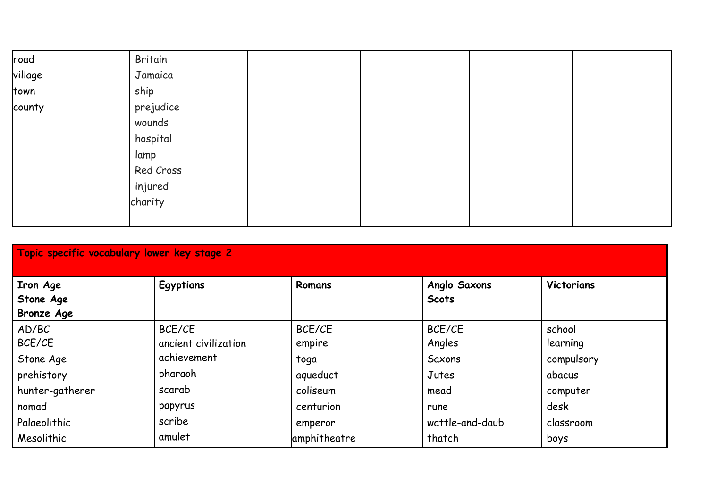| road    | Britain   |  |  |
|---------|-----------|--|--|
| village | Jamaica   |  |  |
| town    | ship      |  |  |
| county  | prejudice |  |  |
|         | wounds    |  |  |
|         | hospital  |  |  |
|         | lamp      |  |  |
|         | Red Cross |  |  |
|         | injured   |  |  |
|         | charity   |  |  |
|         |           |  |  |

| Topic specific vocabulary lower key stage 2 |                      |              |                     |            |  |  |
|---------------------------------------------|----------------------|--------------|---------------------|------------|--|--|
| Iron Age                                    | Egyptians            | Romans       | <b>Anglo Saxons</b> | Victorians |  |  |
| Stone Age                                   |                      |              | <b>Scots</b>        |            |  |  |
| <b>Bronze Age</b>                           |                      |              |                     |            |  |  |
| AD/BC                                       | BCE/CE               | BCE/CE       | BCE/CE              | school     |  |  |
| BCE/CE                                      | ancient civilization | empire       | Angles              | learning   |  |  |
| Stone Age                                   | achievement          | toga         | Saxons              | compulsory |  |  |
| prehistory                                  | pharaoh              | aqueduct     | Jutes               | abacus     |  |  |
| hunter-gatherer                             | scarab               | coliseum     | mead                | computer   |  |  |
| nomad                                       | papyrus              | centurion    | rune                | desk       |  |  |
| Palaeolithic                                | scribe               | emperor      | wattle-and-daub     | classroom  |  |  |
| Mesolithic                                  | amulet               | amphitheatre | thatch              | boys       |  |  |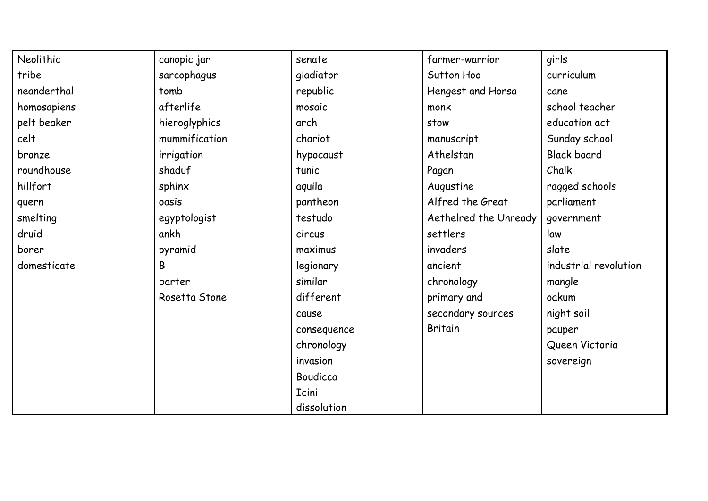| Neolithic   | canopic jar   | senate       | farmer-warrior        | girls                 |
|-------------|---------------|--------------|-----------------------|-----------------------|
| tribe       | sarcophagus   | gladiator    | Sutton Hoo            | curriculum            |
| neanderthal | tomb          | republic     | Hengest and Horsa     | cane                  |
| homosapiens | afterlife     | mosaic       | monk                  | school teacher        |
| pelt beaker | hieroglyphics | arch         | stow                  | education act         |
| celt        | mummification | chariot      | manuscript            | Sunday school         |
| bronze      | irrigation    | hypocaust    | Athelstan             | <b>Black board</b>    |
| roundhouse  | shaduf        | tunic        | Pagan                 | Chalk                 |
| hillfort    | sphinx        | aquila       | Augustine             | ragged schools        |
| quern       | oasis         | pantheon     | Alfred the Great      | parliament            |
| smelting    | egyptologist  | testudo      | Aethelred the Unready | government            |
| druid       | ankh          | circus       | settlers              | law                   |
| borer       | pyramid       | maximus      | invaders              | slate                 |
| domesticate | B             | legionary    | ancient               | industrial revolution |
|             | barter        | similar      | chronology            | mangle                |
|             | Rosetta Stone | different    | primary and           | oakum                 |
|             |               | cause        | secondary sources     | night soil            |
|             |               | consequence  | <b>Britain</b>        | pauper                |
|             |               | chronology   |                       | Queen Victoria        |
|             |               | invasion     |                       | sovereign             |
|             |               | Boudicca     |                       |                       |
|             |               | <b>Icini</b> |                       |                       |
|             |               | dissolution  |                       |                       |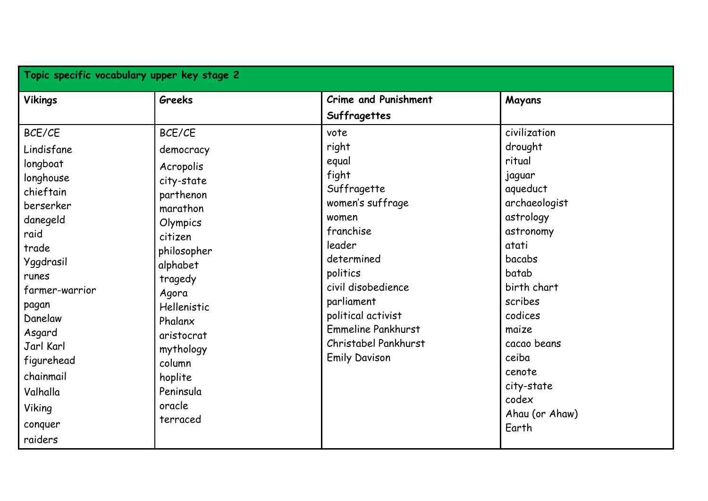| Topic specific vocabulary upper key stage 2                                                                                                                                                                                                                    |                                                                                                                                                                                                                                                            |                                                                                                                                                                                                                                                              |                                                                                                                                                                                                                                                                  |  |  |
|----------------------------------------------------------------------------------------------------------------------------------------------------------------------------------------------------------------------------------------------------------------|------------------------------------------------------------------------------------------------------------------------------------------------------------------------------------------------------------------------------------------------------------|--------------------------------------------------------------------------------------------------------------------------------------------------------------------------------------------------------------------------------------------------------------|------------------------------------------------------------------------------------------------------------------------------------------------------------------------------------------------------------------------------------------------------------------|--|--|
| <b>Vikings</b>                                                                                                                                                                                                                                                 | Greeks                                                                                                                                                                                                                                                     | <b>Crime and Punishment</b><br>Suffragettes                                                                                                                                                                                                                  | Mayans                                                                                                                                                                                                                                                           |  |  |
| BCE/CE<br>Lindisfane<br>longboat<br>longhouse<br>chieftain<br>berserker<br>danegeld<br>raid<br>trade<br>Yggdrasil<br>runes<br>farmer-warrior<br>pagan<br>Danelaw<br>Asgard<br>Jarl Karl<br>figurehead<br>chainmail<br>Valhalla<br>Viking<br>conquer<br>raiders | BCE/CE<br>democracy<br>Acropolis<br>city-state<br>parthenon<br>marathon<br>Olympics<br>citizen<br>philosopher<br>alphabet<br>tragedy<br>Agora<br>Hellenistic<br>Phalanx<br>aristocrat<br>mythology<br>column<br>hoplite<br>Peninsula<br>oracle<br>terraced | vote<br>right<br>equal<br>fight<br>Suffragette<br>women's suffrage<br>women<br>franchise<br>leader<br>determined<br>politics<br>civil disobedience<br>parliament<br>political activist<br>Emmeline Pankhurst<br>Christabel Pankhurst<br><b>Emily Davison</b> | civilization<br>drought<br>ritual<br>jaguar<br>aqueduct<br>archaeologist<br>astrology<br>astronomy<br>atati<br>bacabs<br>batab<br>birth chart<br>scribes<br>codices<br>maize<br>cacao beans<br>ceiba<br>cenote<br>city-state<br>codex<br>Ahau (or Ahaw)<br>Earth |  |  |